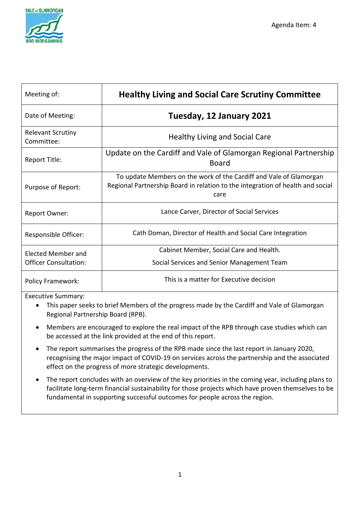

| Meeting of:                            | <b>Healthy Living and Social Care Scrutiny Committee</b>                                                                                                     |  |  |  |  |
|----------------------------------------|--------------------------------------------------------------------------------------------------------------------------------------------------------------|--|--|--|--|
| Date of Meeting:                       | Tuesday, 12 January 2021                                                                                                                                     |  |  |  |  |
| <b>Relevant Scrutiny</b><br>Committee: | <b>Healthy Living and Social Care</b>                                                                                                                        |  |  |  |  |
| Report Title:                          | Update on the Cardiff and Vale of Glamorgan Regional Partnership<br><b>Board</b>                                                                             |  |  |  |  |
| Purpose of Report:                     | To update Members on the work of the Cardiff and Vale of Glamorgan<br>Regional Partnership Board in relation to the integration of health and social<br>care |  |  |  |  |
| Report Owner:                          | Lance Carver, Director of Social Services                                                                                                                    |  |  |  |  |
| Responsible Officer:                   | Cath Doman, Director of Health and Social Care Integration                                                                                                   |  |  |  |  |
| Elected Member and                     | Cabinet Member, Social Care and Health.                                                                                                                      |  |  |  |  |
| <b>Officer Consultation:</b>           | Social Services and Senior Management Team                                                                                                                   |  |  |  |  |
| <b>Policy Framework:</b>               | This is a matter for Executive decision                                                                                                                      |  |  |  |  |

Executive Summary:

- This paper seeks to brief Members of the progress made by the Cardiff and Vale of Glamorgan Regional Partnership Board (RPB).
- Members are encouraged to explore the real impact of the RPB through case studies which can be accessed at the link provided at the end of this report.
- The report summarises the progress of the RPB made since the last report in January 2020, recognising the major impact of COVID-19 on services across the partnership and the associated effect on the progress of more strategic developments.
- The report concludes with an overview of the key priorities in the coming year, including plans to facilitate long-term financial sustainability for those projects which have proven themselves to be fundamental in supporting successful outcomes for people across the region.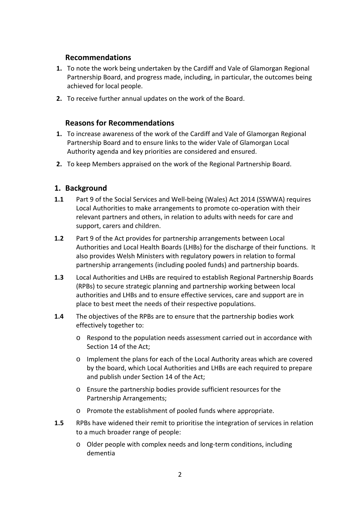# **Recommendations**

- **1.** To note the work being undertaken by the Cardiff and Vale of Glamorgan Regional Partnership Board, and progress made, including, in particular, the outcomes being achieved for local people.
- **2.** To receive further annual updates on the work of the Board.

# **Reasons for Recommendations**

- **1.** To increase awareness of the work of the Cardiff and Vale of Glamorgan Regional Partnership Board and to ensure links to the wider Vale of Glamorgan Local Authority agenda and key priorities are considered and ensured.
- **2.** To keep Members appraised on the work of the Regional Partnership Board.

# **1. Background**

- **1.1** Part 9 of the Social Services and Well-being (Wales) Act 2014 (SSWWA) requires Local Authorities to make arrangements to promote co-operation with their relevant partners and others, in relation to adults with needs for care and support, carers and children.
- **1.2** Part 9 of the Act provides for partnership arrangements between Local Authorities and Local Health Boards (LHBs) for the discharge of their functions. It also provides Welsh Ministers with regulatory powers in relation to formal partnership arrangements (including pooled funds) and partnership boards.
- **1.3** Local Authorities and LHBs are required to establish Regional Partnership Boards (RPBs) to secure strategic planning and partnership working between local authorities and LHBs and to ensure effective services, care and support are in place to best meet the needs of their respective populations.
- **1.4** The objectives of the RPBs are to ensure that the partnership bodies work effectively together to:
	- o Respond to the population needs assessment carried out in accordance with Section 14 of the Act;
	- o Implement the plans for each of the Local Authority areas which are covered by the board, which Local Authorities and LHBs are each required to prepare and publish under Section 14 of the Act;
	- o Ensure the partnership bodies provide sufficient resources for the Partnership Arrangements;
	- o Promote the establishment of pooled funds where appropriate.
- **1.5** RPBs have widened their remit to prioritise the integration of services in relation to a much broader range of people:
	- o Older people with complex needs and long-term conditions, including dementia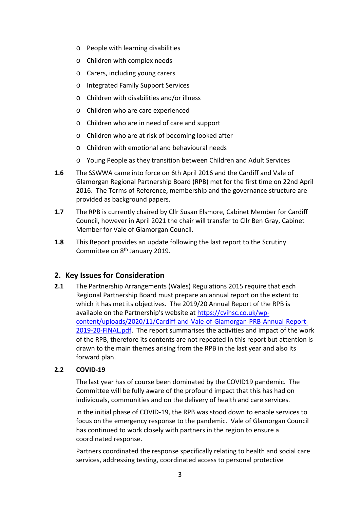- o People with learning disabilities
- o Children with complex needs
- o Carers, including young carers
- o Integrated Family Support Services
- o Children with disabilities and/or illness
- o Children who are care experienced
- o Children who are in need of care and support
- o Children who are at risk of becoming looked after
- o Children with emotional and behavioural needs
- o Young People as they transition between Children and Adult Services
- **1.6** The SSWWA came into force on 6th April 2016 and the Cardiff and Vale of Glamorgan Regional Partnership Board (RPB) met for the first time on 22nd April 2016. The Terms of Reference, membership and the governance structure are provided as background papers.
- **1.7** The RPB is currently chaired by Cllr Susan Elsmore, Cabinet Member for Cardiff Council, however in April 2021 the chair will transfer to Cllr Ben Gray, Cabinet Member for Vale of Glamorgan Council.
- **1.8** This Report provides an update following the last report to the Scrutiny Committee on 8<sup>th</sup> January 2019.

# **2. Key Issues for Consideration**

**2.1** The Partnership Arrangements (Wales) Regulations 2015 require that each Regional Partnership Board must prepare an annual report on the extent to which it has met its objectives. The 2019/20 Annual Report of the RPB is available on the Partnership's website at [https://cvihsc.co.uk/wp](https://cvihsc.co.uk/wp-content/uploads/2020/11/Cardiff-and-Vale-of-Glamorgan-PRB-Annual-Report-2019-20-FINAL.pdf)[content/uploads/2020/11/Cardiff-and-Vale-of-Glamorgan-PRB-Annual-Report-](https://cvihsc.co.uk/wp-content/uploads/2020/11/Cardiff-and-Vale-of-Glamorgan-PRB-Annual-Report-2019-20-FINAL.pdf)[2019-20-FINAL.pdf.](https://cvihsc.co.uk/wp-content/uploads/2020/11/Cardiff-and-Vale-of-Glamorgan-PRB-Annual-Report-2019-20-FINAL.pdf) The report summarises the activities and impact of the work of the RPB, therefore its contents are not repeated in this report but attention is drawn to the main themes arising from the RPB in the last year and also its forward plan.

### **2.2 COVID-19**

The last year has of course been dominated by the COVID19 pandemic. The Committee will be fully aware of the profound impact that this has had on individuals, communities and on the delivery of health and care services.

In the initial phase of COVID-19, the RPB was stood down to enable services to focus on the emergency response to the pandemic. Vale of Glamorgan Council has continued to work closely with partners in the region to ensure a coordinated response.

Partners coordinated the response specifically relating to health and social care services, addressing testing, coordinated access to personal protective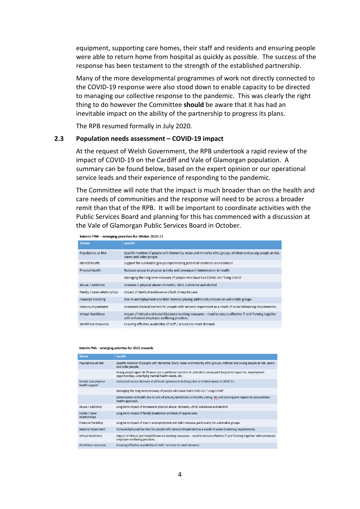equipment, supporting care homes, their staff and residents and ensuring people were able to return home from hospital as quickly as possible. The success of the response has been testament to the strength of the established partnership.

Many of the more developmental programmes of work not directly connected to the COVID-19 response were also stood down to enable capacity to be directed to managing our collective response to the pandemic. This was clearly the right thing to do however the Committee **should** be aware that it has had an inevitable impact on the ability of the partnership to progress its plans.

The RPB resumed formally in July 2020.

#### **2.3 Population needs assessment – COVID-19 impact**

At the request of Welsh Government, the RPB undertook a rapid review of the impact of COVID-19 on the Cardiff and Vale of Glamorgan population. A summary can be found below, based on the expert opinion or our operational service leads and their experience of responding to the pandemic.

The Committee will note that the impact is much broader than on the health and care needs of communities and the response will need to be across a broader remit than that of the RPB. It will be important to coordinate activities with the Public Services Board and planning for this has commenced with a discussion at the Vale of Glamorgan Public Services Board in October.

|  | Interim PNA - emerging priorities for Winter 2020-21 |
|--|------------------------------------------------------|
|--|------------------------------------------------------|

| <b>Theme</b>                 | <b>Specific</b>                                                                                                                                            |
|------------------------------|------------------------------------------------------------------------------------------------------------------------------------------------------------|
| Populations at Risk          | Specific mention of people with Dementia, Asian and minority ethic groups, children and young people at risk,<br>carers and older people.                  |
| Mental health                | Support for vulnerable groups experiencing potential loneliness and isolation                                                                              |
| Physical health              | Reduced access to physical activity and consequent deterioration in health                                                                                 |
|                              | Managing the long term recovery of people who have had COVID-19 / 'Long COVID'                                                                             |
| Abuse / addiction            | Increase in physical abuse: domestic, child, substance and alcohol                                                                                         |
| Family / carer relationships | Impact of family breakdown and lack of respite care.                                                                                                       |
| Financial Hardship           | Rise in unemployment and debt increase placing additional pressure on vulnerable groups.                                                                   |
| Sensory impairment           | Increased physical barriers for people with sensory impairment as a result of social distancing requirements.                                              |
| Virtual Workforce            | Impact of Virtual and Social Distanced working measures - need to ensure effective IT and Training together<br>with enhanced employee wellbeing practices. |
| Workforce resources          | Ensuring effective availability of staff / services to meet demand.                                                                                        |

#### Interim PNA - emerging priorities for 2021 onwards

| <b>Theme</b>                          | <b>Specific</b>                                                                                                                                                        |
|---------------------------------------|------------------------------------------------------------------------------------------------------------------------------------------------------------------------|
| Populations at Risk                   | Specific mention of people with dementia, black, Asian and minority ethic groups, children and young people at risk, carers<br>and older people.                       |
|                                       | Young people aged 16-25 years are a particular concern re, potential consequent long term impact re, employment<br>opportunities, underlying mental health needs, etc. |
| Mental and physical<br>health support | Increased service demand at all levels (primary to tertiary) due to limited access in 2020-21.                                                                         |
|                                       | Managing the long term recovery of people who have had COVID-19 / 'Long COVID'                                                                                         |
|                                       | Deterioration in health due to lack of activity, limitations on healthy eating, etc and consequent impact on preventative<br>health approach.                          |
| Abuse / addiction                     | Long term impact of increase in physical abuse: domestic, child, substance and alcohol                                                                                 |
| Family / carer<br>relationships       | Long term impact of family breakdown and lack of respite care.                                                                                                         |
| Financial Hardship                    | Long term impact of rise in unemployment and debt increase, particularly for vulnerable groups                                                                         |
| Sensory impairment                    | Increased physical barriers for people with sensory impairment as a result of social distancing requirements.                                                          |
| Virtual Workforce                     | Impact of Virtual and Social Distanced working measures - need to ensure effective IT and Training together with enhanced<br>employee wellbeing practices.             |
| Workforce resources                   | Ensuring effective availability of staff / services to meet demand.                                                                                                    |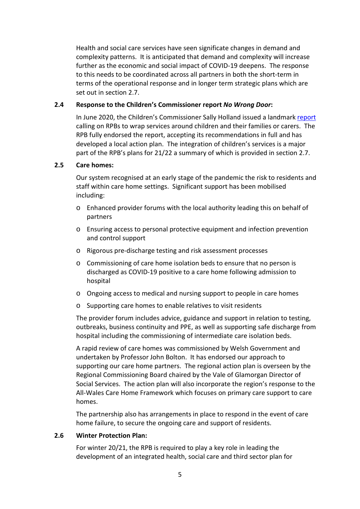Health and social care services have seen significate changes in demand and complexity patterns. It is anticipated that demand and complexity will increase further as the economic and social impact of COVID-19 deepens. The response to this needs to be coordinated across all partners in both the short-term in terms of the operational response and in longer term strategic plans which are set out in section 2.7.

#### **2.4 Response to the Children's Commissioner report** *No Wrong Door***:**

In June 2020, the Children's Commissioner Sally Holland issued a landmar[k report](https://www.childcomwales.org.uk/wp-content/uploads/2020/06/NoWrongDoor_FINAL_EN230620.pdf) calling on RPBs to wrap services around children and their families or carers. The RPB fully endorsed the report, accepting its recommendations in full and has developed a local action plan. The integration of children's services is a major part of the RPB's plans for 21/22 a summary of which is provided in section 2.7.

#### **2.5 Care homes:**

Our system recognised at an early stage of the pandemic the risk to residents and staff within care home settings. Significant support has been mobilised including:

- o Enhanced provider forums with the local authority leading this on behalf of partners
- o Ensuring access to personal protective equipment and infection prevention and control support
- o Rigorous pre-discharge testing and risk assessment processes
- o Commissioning of care home isolation beds to ensure that no person is discharged as COVID-19 positive to a care home following admission to hospital
- o Ongoing access to medical and nursing support to people in care homes
- o Supporting care homes to enable relatives to visit residents

The provider forum includes advice, guidance and support in relation to testing, outbreaks, business continuity and PPE, as well as supporting safe discharge from hospital including the commissioning of intermediate care isolation beds.

A rapid review of care homes was commissioned by Welsh Government and undertaken by Professor John Bolton. It has endorsed our approach to supporting our care home partners. The regional action plan is overseen by the Regional Commissioning Board chaired by the Vale of Glamorgan Director of Social Services. The action plan will also incorporate the region's response to the All-Wales Care Home Framework which focuses on primary care support to care homes.

The partnership also has arrangements in place to respond in the event of care home failure, to secure the ongoing care and support of residents.

#### **2.6 Winter Protection Plan:**

For winter 20/21, the RPB is required to play a key role in leading the development of an integrated health, social care and third sector plan for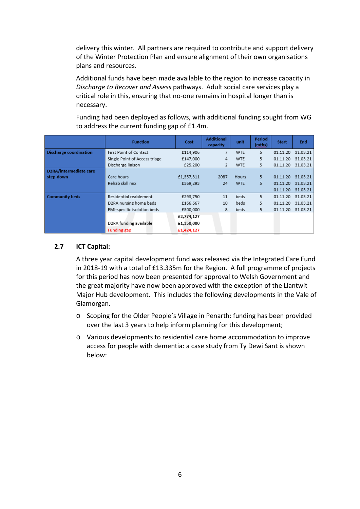delivery this winter. All partners are required to contribute and support delivery of the Winter Protection Plan and ensure alignment of their own organisations plans and resources.

Additional funds have been made available to the region to increase capacity in *Discharge to Recover and Assess* pathways. Adult social care services play a critical role in this, ensuring that no-one remains in hospital longer than is necessary.

Funding had been deployed as follows, with additional funding sought from WG to address the current funding gap of £1.4m.

|                               | <b>Function</b>               | Cost       | <b>Additional</b><br>capacity | unit         | Period<br>(mths) | <b>Start</b> | End      |
|-------------------------------|-------------------------------|------------|-------------------------------|--------------|------------------|--------------|----------|
| <b>Discharge coordination</b> | First Point of Contact        | £114,906   | 7                             | <b>WTE</b>   | 5.               | 01.11.20     | 31.03.21 |
|                               | Single Point of Access triage | £147,000   | 4                             | <b>WTE</b>   | 5                | 01.11.20     | 31.03.21 |
|                               | Discharge liaison             | £25,200    | 2                             | <b>WTE</b>   | 5                | 01.11.20     | 31.03.21 |
| D2RA/intermediate care        |                               |            |                               |              |                  |              |          |
| step-down                     | Care hours                    | £1,357,311 | 2087                          | <b>Hours</b> | 5                | 01.11.20     | 31.03.21 |
|                               | Rehab skill mix               | £369,293   | 24                            | <b>WTE</b>   | 5                | 01.11.20     | 31.03.21 |
|                               |                               |            |                               |              |                  | 01.11.20     | 31.03.21 |
| <b>Community beds</b>         | Residential reablement        | £293,750   | 11                            | beds         | 5.               | 01.11.20     | 31.03.21 |
|                               | D2RA nursing home beds        | £166,667   | 10                            | beds         | 5                | 01.11.20     | 31.03.21 |
|                               | EMI-specific isolation beds   | £300,000   | 8                             | beds         | 5                | 01.11.20     | 31.03.21 |
|                               |                               | £2,774,127 |                               |              |                  |              |          |
|                               | D2RA funding available        | £1,350,000 |                               |              |                  |              |          |
|                               | <b>Funding gap</b>            | £1,424,127 |                               |              |                  |              |          |

#### **2.7 ICT Capital:**

A three year capital development fund was released via the Integrated Care Fund in 2018-19 with a total of £13.335m for the Region. A full programme of projects for this period has now been presented for approval to Welsh Government and the great majority have now been approved with the exception of the Llantwit Major Hub development. This includes the following developments in the Vale of Glamorgan.

- o Scoping for the Older People's Village in Penarth: funding has been provided over the last 3 years to help inform planning for this development;
- o Various developments to residential care home accommodation to improve access for people with dementia: a case study from Ty Dewi Sant is shown below: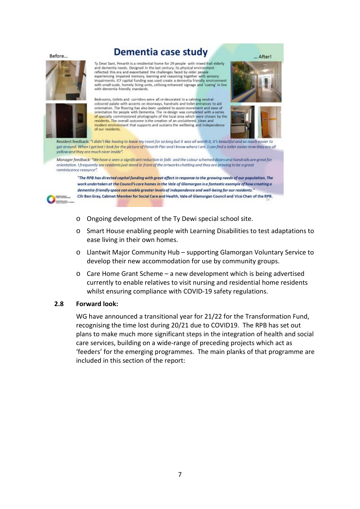Before...

# Dementia case study





**PERMITER** 

**CONSUMI** 

Ty Dewi Sant, Penarth is a residential home for 29 people with mixed frail elderly and dementia needs. Designed in the last century, its physical environment reflected this era and exacerbated the challenges faced by older people experiencing impaired memory, learning and reasoning together with sensory impairments. ICF capital funding was used create a dementia friendly enviror with small-scale, homely living units, utilising enhanced signage and 'cueing' in line with dementia friendly standards.

Bedrooms, toilets and corridors were all re-decorated in a calming neutralcoloured palate with accents on doorways, handrails and toilet entrances to aid orientation. The flooring has also been updated to assist movement and ease of orientation for people with Dementia. The re-design was completed with a series of specially commissioned photographs of the local area which were chosen by the residents. The overall outcome is the creation of an uncluttered, clean and modern environment that supports and sustains the wellbeing and independence<br>of our residents.





Resident feedback: "I didn't like having to leave my room for so long but it was all worth it, it's beautiful and so much easier to get around. When I get last I look for the picture of Penarth Pier and I know where I am. I can find a tailet easier now they are all vellow and they are much nicer inside"

Manager feedback: "We have a seen a significant reduction in falls and the colour schemed doors and handralls are great for orientation. I frequently see residents just stand in frant of the artworks chatting and they are proving to be a great reminiscence resource'

"The RPB has directed capital funding with great effect in response to the growing needs of our population. The work undertaken at the Council's care homes in the Vale of Glamorgan is a fantastic example of how creating a dementia-friendly space can enable greater levels of independence and well-being for our residents. Clir Ben Gray, Cabinet Member for Social Care and Health, Vale of Glamorgan Council and Vice Chair of the RPB.

- o Ongoing development of the Ty Dewi special school site.
- o Smart House enabling people with Learning Disabilities to test adaptations to ease living in their own homes.
- o Llantwit Major Community Hub supporting Glamorgan Voluntary Service to develop their new accommodation for use by community groups.
- o Care Home Grant Scheme a new development which is being advertised currently to enable relatives to visit nursing and residential home residents whilst ensuring compliance with COVID-19 safety regulations.

#### **2.8 Forward look:**

WG have announced a transitional year for 21/22 for the Transformation Fund, recognising the time lost during 20/21 due to COVID19. The RPB has set out plans to make much more significant steps in the integration of health and social care services, building on a wide-range of preceding projects which act as 'feeders' for the emerging programmes. The main planks of that programme are included in this section of the report: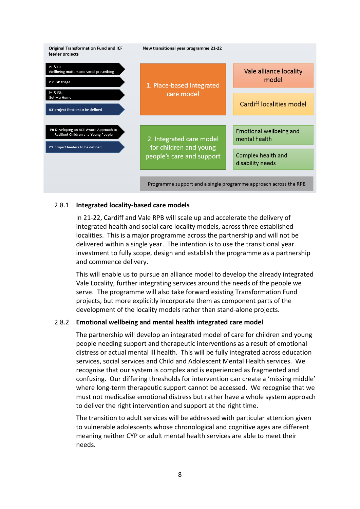

### 2.8.1 **Integrated locality-based care models**

In 21-22, Cardiff and Vale RPB will scale up and accelerate the delivery of integrated health and social care locality models, across three established localities. This is a major programme across the partnership and will not be delivered within a single year. The intention is to use the transitional year investment to fully scope, design and establish the programme as a partnership and commence delivery.

This will enable us to pursue an alliance model to develop the already integrated Vale Locality, further integrating services around the needs of the people we serve. The programme will also take forward existing Transformation Fund projects, but more explicitly incorporate them as component parts of the development of the locality models rather than stand-alone projects.

### 2.8.2 **Emotional wellbeing and mental health integrated care model**

The partnership will develop an integrated model of care for children and young people needing support and therapeutic interventions as a result of emotional distress or actual mental ill health. This will be fully integrated across education services, social services and Child and Adolescent Mental Health services. We recognise that our system is complex and is experienced as fragmented and confusing. Our differing thresholds for intervention can create a 'missing middle' where long-term therapeutic support cannot be accessed. We recognise that we must not medicalise emotional distress but rather have a whole system approach to deliver the right intervention and support at the right time.

The transition to adult services will be addressed with particular attention given to vulnerable adolescents whose chronological and cognitive ages are different meaning neither CYP or adult mental health services are able to meet their needs.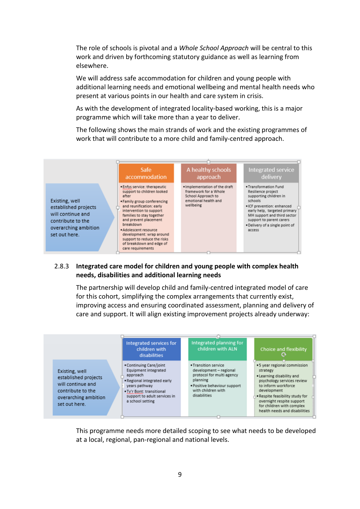The role of schools is pivotal and a *Whole School Approach* will be central to this work and driven by forthcoming statutory guidance as well as learning from elsewhere.

We will address safe accommodation for children and young people with additional learning needs and emotional wellbeing and mental health needs who present at various points in our health and care system in crisis.

As with the development of integrated locality-based working, this is a major programme which will take more than a year to deliver.

The following shows the main strands of work and the existing programmes of work that will contribute to a more child and family-centred approach.



#### 2.8.3 **Integrated care model for children and young people with complex health needs, disabilities and additional learning needs**

The partnership will develop child and family-centred integrated model of care for this cohort, simplifying the complex arrangements that currently exist, improving access and ensuring coordinated assessment, planning and delivery of care and support. It will align existing improvement projects already underway:



This programme needs more detailed scoping to see what needs to be developed at a local, regional, pan-regional and national levels.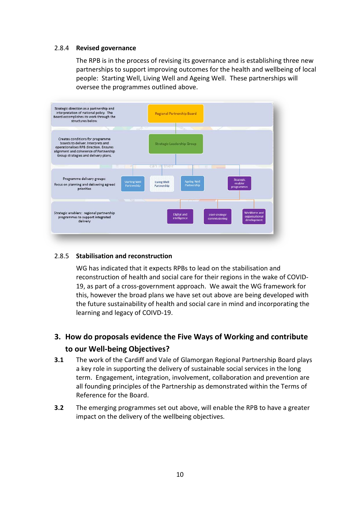#### 2.8.4 **Revised governance**

The RPB is in the process of revising its governance and is establishing three new partnerships to support improving outcomes for the health and wellbeing of local people: Starting Well, Living Well and Ageing Well. These partnerships will oversee the programmes outlined above.



#### 2.8.5 **Stabilisation and reconstruction**

WG has indicated that it expects RPBs to lead on the stabilisation and reconstruction of health and social care for their regions in the wake of COVID-19, as part of a cross-government approach. We await the WG framework for this, however the broad plans we have set out above are being developed with the future sustainability of health and social care in mind and incorporating the learning and legacy of COIVD-19.

# **3. How do proposals evidence the Five Ways of Working and contribute to our Well-being Objectives?**

- **3.1** The work of the Cardiff and Vale of Glamorgan Regional Partnership Board plays a key role in supporting the delivery of sustainable social services in the long term. Engagement, integration, involvement, collaboration and prevention are all founding principles of the Partnership as demonstrated within the Terms of Reference for the Board.
- **3.2** The emerging programmes set out above, will enable the RPB to have a greater impact on the delivery of the wellbeing objectives.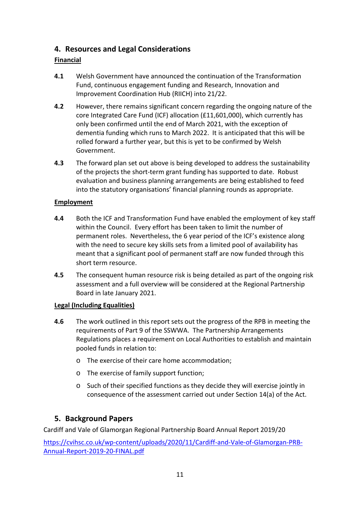# **4. Resources and Legal Considerations**

# **Financial**

- **4.1** Welsh Government have announced the continuation of the Transformation Fund, continuous engagement funding and Research, Innovation and Improvement Coordination Hub (RIICH) into 21/22.
- **4.2** However, there remains significant concern regarding the ongoing nature of the core Integrated Care Fund (ICF) allocation (£11,601,000), which currently has only been confirmed until the end of March 2021, with the exception of dementia funding which runs to March 2022. It is anticipated that this will be rolled forward a further year, but this is yet to be confirmed by Welsh Government.
- **4.3** The forward plan set out above is being developed to address the sustainability of the projects the short-term grant funding has supported to date. Robust evaluation and business planning arrangements are being established to feed into the statutory organisations' financial planning rounds as appropriate.

### **Employment**

- **4.4** Both the ICF and Transformation Fund have enabled the employment of key staff within the Council. Every effort has been taken to limit the number of permanent roles. Nevertheless, the 6 year period of the ICF's existence along with the need to secure key skills sets from a limited pool of availability has meant that a significant pool of permanent staff are now funded through this short term resource.
- **4.5** The consequent human resource risk is being detailed as part of the ongoing risk assessment and a full overview will be considered at the Regional Partnership Board in late January 2021.

### **Legal (Including Equalities)**

- **4.6** The work outlined in this report sets out the progress of the RPB in meeting the requirements of Part 9 of the SSWWA. The Partnership Arrangements Regulations places a requirement on Local Authorities to establish and maintain pooled funds in relation to:
	- o The exercise of their care home accommodation;
	- o The exercise of family support function;
	- o Such of their specified functions as they decide they will exercise jointly in consequence of the assessment carried out under Section 14(a) of the Act.

# **5. Background Papers**

Cardiff and Vale of Glamorgan Regional Partnership Board Annual Report 2019/20

[https://cvihsc.co.uk/wp-content/uploads/2020/11/Cardiff-and-Vale-of-Glamorgan-PRB-](https://cvihsc.co.uk/wp-content/uploads/2020/11/Cardiff-and-Vale-of-Glamorgan-PRB-Annual-Report-2019-20-FINAL.pdf)[Annual-Report-2019-20-FINAL.pdf](https://cvihsc.co.uk/wp-content/uploads/2020/11/Cardiff-and-Vale-of-Glamorgan-PRB-Annual-Report-2019-20-FINAL.pdf)